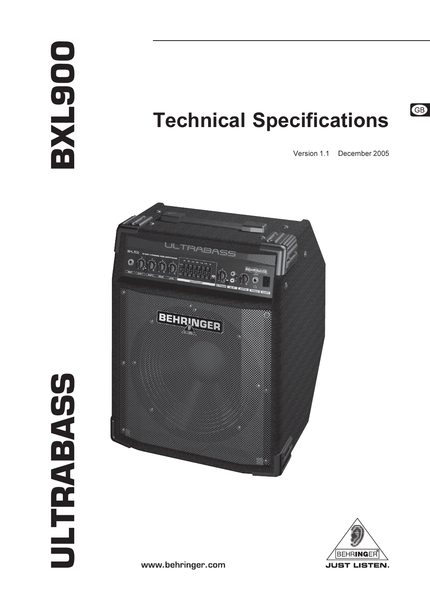# DOG-TXE

# **Technical Specifications**



GB





**ULTRABASS** 

www.behringer.com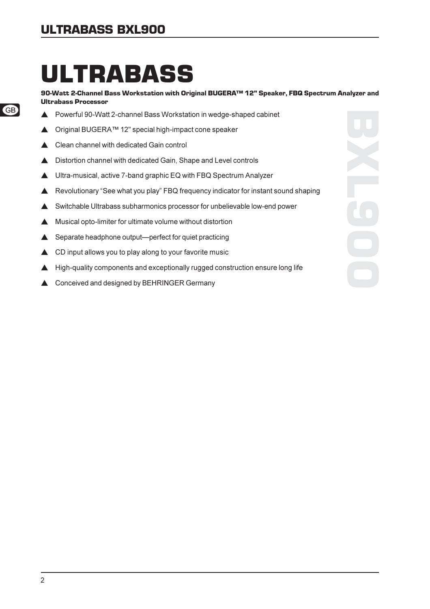## **ULTRABASS BXL900**

# **ULTRABASS**

90-Watt 2-Channel Bass Workstation with Original BUGERA™ 12" Speaker, FBQ Spectrum Analyzer and **Ultrabass Processor** 

- Powerful 90-Watt 2-channel Bass Workstation in wedge-shaped cabinet
- $\blacktriangle$ Original BUGERA™ 12" special high-impact cone speaker
- Clean channel with dedicated Gain control  $\blacktriangle$
- Distortion channel with dedicated Gain, Shape and Level controls  $\blacktriangle$
- ▲ Ultra-musical, active 7-band graphic EQ with FBQ Spectrum Analyzer
- ▲ Revolutionary "See what you play" FBQ frequency indicator for instant sound shaping
- Switchable Ultrabass subharmonics processor for unbelievable low-end power
- ▲ Musical opto-limiter for ultimate volume without distortion
- Separate headphone output—perfect for quiet practicing ▲
- CD input allows you to play along to your favorite music  $\blacktriangle$
- $\blacktriangle$  High-quality components and exceptionally rugged construction ensure long life
- ▲ Conceived and designed by BEHRINGER Germany